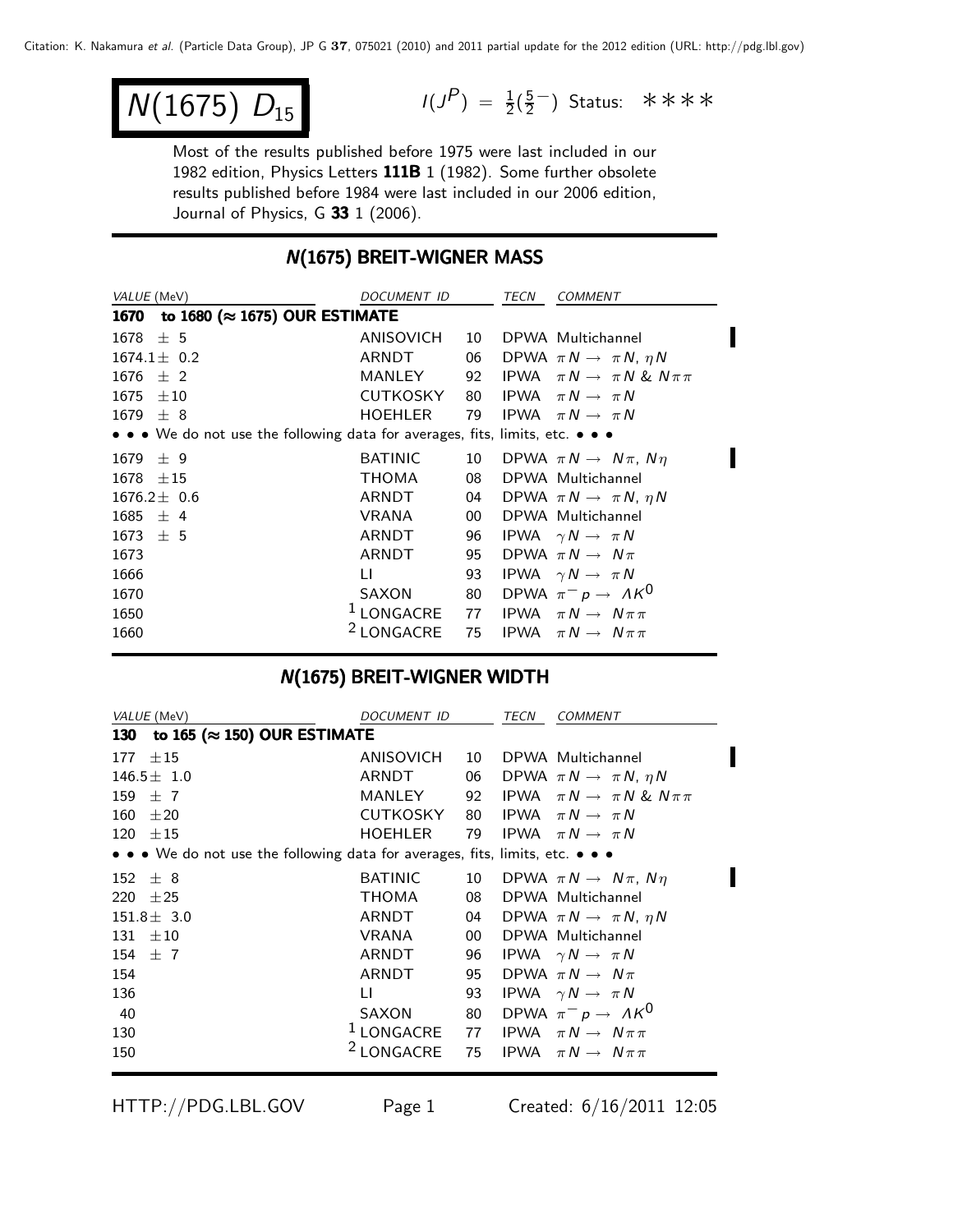$$
N(1675) D_{15}
$$

 $N(1675)$   $D_{15}$   $I(J^P) = \frac{1}{2}(\frac{5}{2})$  Status: \*\*\*\*

Most of the results published before 1975 were last included in our 1982 edition, Physics Letters 111B 1 (1982). Some further obsolete results published before 1984 were last included in our 2006 edition, Journal of Physics, G 33 1 (2006).

### **N(1675) BREIT-WIGNER MASS**

| VALUE (MeV)                                                                   | DOCUMENT ID                                                 |       | TECN | <b>COMMENT</b>                               |
|-------------------------------------------------------------------------------|-------------------------------------------------------------|-------|------|----------------------------------------------|
| to 1680 (≈ 1675) OUR ESTIMATE<br>1670                                         |                                                             |       |      |                                              |
| $1678 \pm 5$                                                                  | ANISOVICH                                                   | 10    |      | DPWA Multichannel                            |
| $1674.1 \pm 0.2$                                                              | ARNDT                                                       |       |      | 06 DPWA $\pi N \rightarrow \pi N$ , $\eta N$ |
| $\pm$ 2<br>1676                                                               | MANLEY                                                      | 92    |      | IPWA $\pi N \rightarrow \pi N \& N \pi \pi$  |
| $1675 \pm 10$                                                                 | <b>CUTKOSKY</b>                                             | 80    |      | IPWA $\pi N \rightarrow \pi N$               |
| $1679 \pm 8$                                                                  | <b>HOEHLER</b>                                              | 79    |      | IPWA $\pi N \rightarrow \pi N$               |
| • • • We do not use the following data for averages, fits, limits, etc. • • • |                                                             |       |      |                                              |
| $1679 \pm 9$                                                                  | <b>BATINIC</b>                                              | 10    |      | DPWA $\pi N \rightarrow N \pi$ , $N \eta$    |
| $1678 \pm 15$                                                                 | THOMA                                                       | 08    |      | DPWA Multichannel                            |
| $1676.2 \pm 0.6$                                                              | ARNDT                                                       |       |      | 04 DPWA $\pi N \rightarrow \pi N$ , $\eta N$ |
| $1685 \pm 4$                                                                  | VRANA                                                       | $00-$ |      | DPWA Multichannel                            |
| $1673 \pm 5$                                                                  | ARNDT                                                       | 96    |      | IPWA $\gamma N \rightarrow \pi N$            |
| 1673                                                                          | ARNDT                                                       | 95    |      | DPWA $\pi N \rightarrow N \pi$               |
| 1666                                                                          | LI.                                                         | 93    |      | IPWA $\gamma N \rightarrow \pi N$            |
| 1670                                                                          | SAXON                                                       | 80    |      | DPWA $\pi^- p \to \Lambda K^0$               |
| 1650                                                                          | <sup>1</sup> LONGACRE 77 IPWA $\pi N \rightarrow N \pi \pi$ |       |      |                                              |
| 1660                                                                          | <sup>2</sup> LONGACRE                                       |       |      | 75 IPWA $\pi N \rightarrow N \pi \pi$        |
|                                                                               |                                                             |       |      |                                              |

### N(1675) BREIT-WIGNER WIDTH

|            | VALUE (MeV)                                                                   | DOCUMENT ID           |    | TECN | <b>COMMENT</b>                               |
|------------|-------------------------------------------------------------------------------|-----------------------|----|------|----------------------------------------------|
| <b>130</b> | to 165 ( $\approx$ 150) OUR ESTIMATE                                          |                       |    |      |                                              |
| 177        | ±15                                                                           | ANISOVICH             | 10 |      | DPWA Multichannel                            |
|            | $146.5 \pm 1.0$                                                               | ARNDT                 | 06 |      | DPWA $\pi N \rightarrow \pi N$ , $\eta N$    |
|            | 159 $\pm$ 7                                                                   | MANLEY                | 92 |      | IPWA $\pi N \rightarrow \pi N \& N \pi \pi$  |
|            | $160 \pm 20$                                                                  | CUTKOSKY              | 80 |      | IPWA $\pi N \rightarrow \pi N$               |
|            | $120 \pm 15$                                                                  | <b>HOEHLER</b>        | 79 |      | IPWA $\pi N \rightarrow \pi N$               |
|            | • • • We do not use the following data for averages, fits, limits, etc. • • • |                       |    |      |                                              |
|            | $152 \pm 8$                                                                   | <b>BATINIC</b>        | 10 |      | DPWA $\pi N \rightarrow N \pi$ , $N \eta$    |
|            | 220 $\pm 25$                                                                  | ТНОМА                 | 08 |      | DPWA Multichannel                            |
|            | $151.8 \pm 3.0$                                                               | ARNDT                 |    |      | 04 DPWA $\pi N \rightarrow \pi N$ , $\eta N$ |
|            | $131 \pm 10$                                                                  | VRANA                 | 00 |      | DPWA Multichannel                            |
|            | 154 $\pm$ 7                                                                   | ARNDT                 |    |      | 96 IPWA $\gamma N \rightarrow \pi N$         |
| 154        |                                                                               | ARNDT                 | 95 |      | DPWA $\pi N \rightarrow N \pi$               |
| 136        |                                                                               | LI.                   | 93 |      | IPWA $\gamma N \rightarrow \pi N$            |
| 40         |                                                                               | SAXON                 | 80 |      | DPWA $\pi^ p \to A K^0$                      |
| 130        |                                                                               | $1$ LONGACRE          |    |      | 77 IPWA $\pi N \rightarrow N \pi \pi$        |
| 150        |                                                                               | <sup>2</sup> LONGACRE | 75 |      | IPWA $\pi N \rightarrow N \pi \pi$           |
|            |                                                                               |                       |    |      |                                              |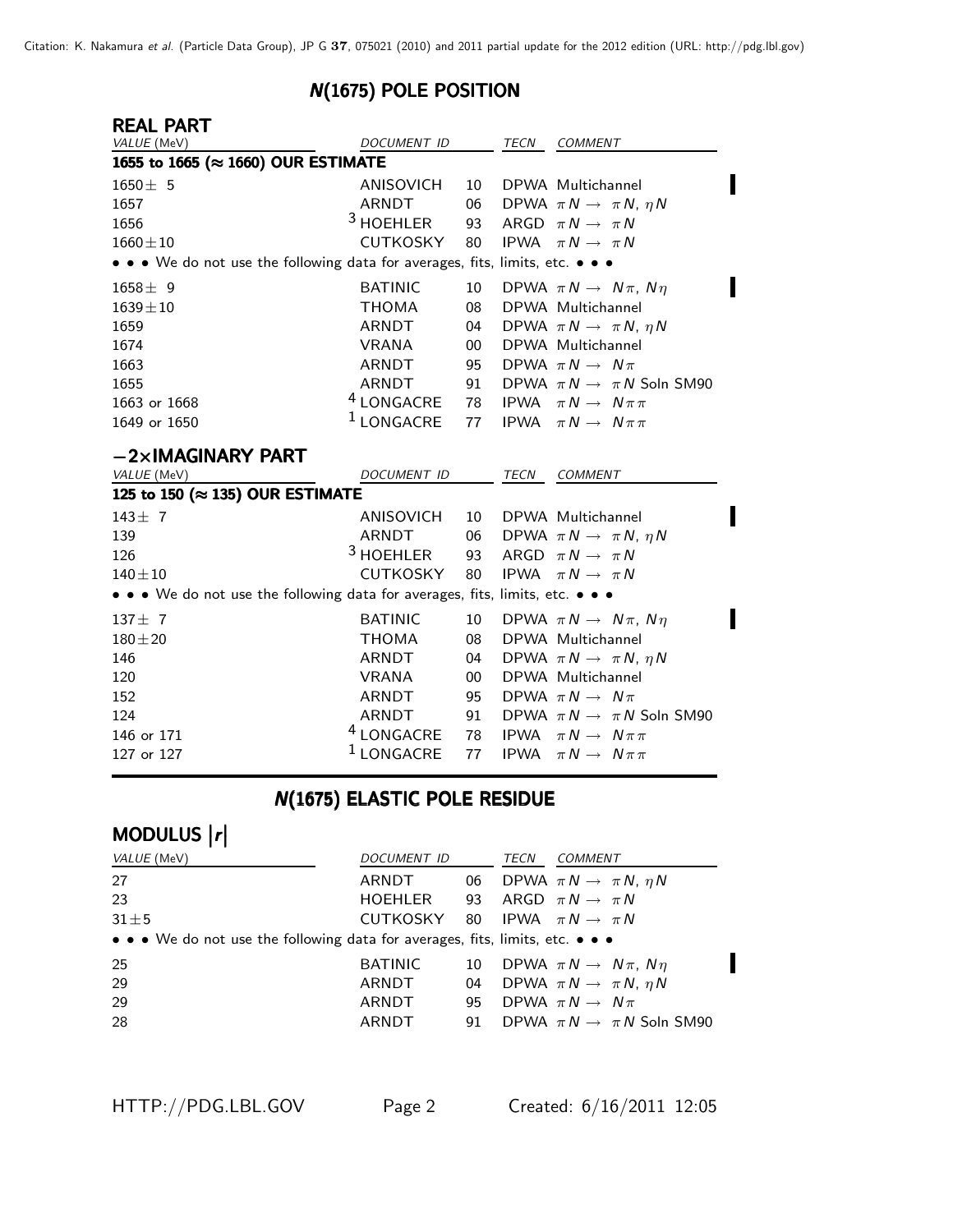## N(1675) POLE POSITION

| <b>REAL PART</b>                                                              |                       |        |             |                                           |
|-------------------------------------------------------------------------------|-----------------------|--------|-------------|-------------------------------------------|
| VALUE (MeV)                                                                   | DOCUMENT ID           |        | <b>TECN</b> | COMMENT                                   |
| 1655 to 1665 (≈ 1660) OUR ESTIMATE                                            |                       |        |             |                                           |
| $1650 \pm 5$                                                                  | ANISOVICH             | 10     |             | DPWA Multichannel                         |
| 1657                                                                          | <b>ARNDT</b>          | 06     |             | DPWA $\pi N \rightarrow \pi N$ , $\eta N$ |
| 1656                                                                          | $3$ HOEHLER           | 93     |             | ARGD $\pi N \rightarrow \pi N$            |
| $1660 \pm 10$                                                                 | <b>CUTKOSKY</b>       | 80     |             | IPWA $\pi N \rightarrow \pi N$            |
| • • • We do not use the following data for averages, fits, limits, etc. • • • |                       |        |             |                                           |
| $1658 \pm 9$                                                                  | <b>BATINIC</b>        | 10     |             | DPWA $\pi N \rightarrow N \pi$ , $N \eta$ |
| $1639 \pm 10$                                                                 | <b>THOMA</b>          | 08     |             | DPWA Multichannel                         |
| 1659                                                                          | ARNDT                 | 04     |             | DPWA $\pi N \rightarrow \pi N$ , $\eta N$ |
| 1674                                                                          | <b>VRANA</b>          | $00\,$ |             | DPWA Multichannel                         |
| 1663                                                                          | ARNDT                 | 95     |             | DPWA $\pi N \rightarrow N \pi$            |
| 1655                                                                          | <b>ARNDT</b>          | 91     |             | DPWA $\pi N \rightarrow \pi N$ Soln SM90  |
| 1663 or 1668                                                                  | <sup>4</sup> LONGACRE | 78     |             | IPWA $\pi N \rightarrow N \pi \pi$        |
| 1649 or 1650                                                                  | <sup>1</sup> LONGACRE | 77     |             | <b>IPWA</b> $\pi N \rightarrow N \pi \pi$ |
| $-2\times$ IMAGINARY PART                                                     |                       |        |             |                                           |
| <i>VALUE</i> (MeV)                                                            | DOCUMENT ID           |        | TECN        | <b>COMMENT</b>                            |
| 125 to 150 ( $\approx$ 135) OUR ESTIMATE                                      |                       |        |             |                                           |
| $143 \pm 7$                                                                   | ANISOVICH             | 10     |             | DPWA Multichannel                         |
| 139                                                                           | ARNDT                 | 06     |             | DPWA $\pi N \rightarrow \pi N$ , $\eta N$ |
| 126                                                                           | <sup>3</sup> HOEHLER  | 93     |             | ARGD $\pi N \rightarrow \pi N$            |
| $140 + 10$                                                                    | <b>CUTKOSKY</b>       | 80     |             | IPWA $\pi N \rightarrow \pi N$            |
| • • • We do not use the following data for averages, fits, limits, etc. • • • |                       |        |             |                                           |
| $137 + 7$                                                                     | <b>BATINIC</b>        | 10     |             | DPWA $\pi N \rightarrow N \pi$ , $N \eta$ |
| $180 + 20$                                                                    | <b>THOMA</b>          | 08     |             | DPWA Multichannel                         |
| 146                                                                           | <b>ARNDT</b>          | 04     |             | DPWA $\pi N \rightarrow \pi N$ , $\eta N$ |
| 120                                                                           | <b>VRANA</b>          | $00\,$ |             | DPWA Multichannel                         |
| 152                                                                           | <b>ARNDT</b>          | 95     |             | DPWA $\pi N \rightarrow N \pi$            |

# **N(1675) ELASTIC POLE RESIDUE**

124 ARNDT 91 DPWA  $\pi N \to \pi N$  Soln SM90<br>146 or 171  $4 \text{LongACRE}$  78 IPWA  $\pi N \to N \pi \pi$ 

146 or 171  $4 \text{ LONGACRE}$  78 IPWA  $\pi N \to N \pi \pi$ <br>127 or 127  $1 \text{ LONGACRE}$  77 IPWA  $\pi N \to N \pi \pi$ 

# MODULUS |r|

| DOCUMENT ID    |    | TECN    | <i>COMMENT</i>                                                                                                              |
|----------------|----|---------|-----------------------------------------------------------------------------------------------------------------------------|
| ARNDT          |    |         | 06 DPWA $\pi N \rightarrow \pi N$ , $\eta N$                                                                                |
|                | 93 |         | ARGD $\pi N \rightarrow \pi N$                                                                                              |
|                |    |         |                                                                                                                             |
|                |    |         |                                                                                                                             |
| <b>BATINIC</b> |    |         | 10 DPWA $\pi N \rightarrow N \pi$ , $N \eta$                                                                                |
| ARNDT          | 04 |         | DPWA $\pi N \rightarrow \pi N$ , $\eta N$                                                                                   |
| ARNDT          | 95 |         | DPWA $\pi N \rightarrow N \pi$                                                                                              |
| ARNDT          | 91 |         | DPWA $\pi N \rightarrow \pi N$ Soln SM90                                                                                    |
|                |    | HOEHLER | CUTKOSKY 80 IPWA $\pi N \rightarrow \pi N$<br>• • • We do not use the following data for averages, fits, limits, etc. • • • |

IPWA  $\pi N \rightarrow N \pi \pi$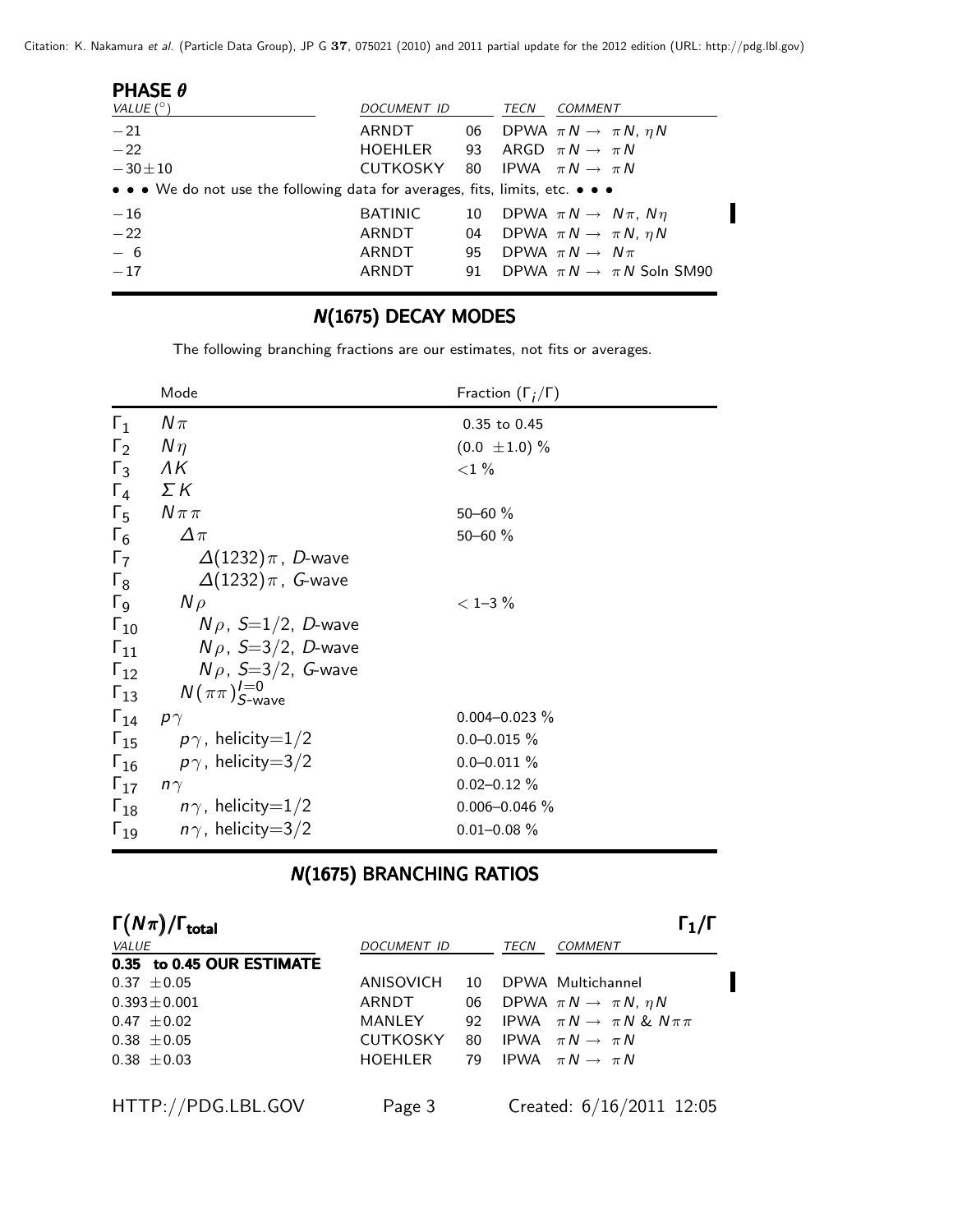Citation: K. Nakamura et al. (Particle Data Group), JP G **37**, 075021 (2010) and 2011 partial update for the 2012 edition (URL: http://pdg.lbl.gov)

| <b>PHASE <math>\theta</math></b>                                              |                |    |      |                                           |
|-------------------------------------------------------------------------------|----------------|----|------|-------------------------------------------|
| VALUE $(^\circ)$                                                              | DOCUMENT ID    |    | TECN | <i>COMMENT</i>                            |
| $-21$                                                                         | ARNDT          | 06 |      | DPWA $\pi N \rightarrow \pi N$ , $\eta N$ |
| $-22$                                                                         | HOEHLER        | 93 |      | ARGD $\pi N \rightarrow \pi N$            |
| $-30 \pm 10$                                                                  | CUTKOSKY       |    |      | 80 IPWA $\pi N \rightarrow \pi N$         |
| • • • We do not use the following data for averages, fits, limits, etc. • • • |                |    |      |                                           |
| $-16$                                                                         | <b>BATINIC</b> | 10 |      | DPWA $\pi N \rightarrow N \pi$ , $N \eta$ |
| $-22$                                                                         | ARNDT          | 04 |      | DPWA $\pi N \rightarrow \pi N$ , $\eta N$ |
| $-6$                                                                          | ARNDT          | 95 |      | DPWA $\pi N \rightarrow N \pi$            |
| $-17$                                                                         | ARNDT          | 91 |      | DPWA $\pi N \rightarrow \pi N$ Soln SM90  |
|                                                                               |                |    |      |                                           |

# N(1675) DECAY MODES

The following branching fractions are our estimates, not fits or averages.

|               | Mode                                            | Fraction $(\Gamma_i/\Gamma)$ |
|---------------|-------------------------------------------------|------------------------------|
| $\Gamma_1$    | $N\pi$                                          | 0.35 to 0.45                 |
| $\Gamma_2$    | $N\eta$                                         | $(0.0 \pm 1.0) \%$           |
| $\Gamma_3$    | ΛK                                              | ${<}1\%$                     |
| $\Gamma_{4}$  | $\Sigma K$                                      |                              |
| $\Gamma_{5}$  | $N\pi\pi$                                       | $50 - 60 \%$                 |
| $\Gamma_6$    | $\Delta \pi$                                    | $50 - 60 \%$                 |
| $\Gamma$      | $\Delta(1232)\pi$ , D-wave                      |                              |
| $\Gamma_8$    | $\Delta(1232)\pi$ , G-wave                      |                              |
| $\Gamma_{9}$  | $N \rho$                                        | $<$ 1-3 $%$                  |
| $\Gamma_{10}$ | $N \rho$ , $S=1/2$ , D-wave                     |                              |
| $\Gamma_{11}$ | $N\rho$ , S=3/2, D-wave                         |                              |
|               | $\Gamma_{12}$ $N \rho$ , S=3/2, G-wave          |                              |
|               | $\Gamma_{13}$ $N(\pi\pi)_{S\text{-wave}}^{l=0}$ |                              |
| $\Gamma_{14}$ | $p\gamma$                                       | $0.004 - 0.023 \%$           |
|               | $\Gamma_{15}$ $p\gamma$ , helicity=1/2          | $0.0 - 0.015 \%$             |
|               | $\Gamma_{16}$ $p\gamma$ , helicity=3/2          | $0.0 - 0.011 \%$             |
| $\Gamma_{17}$ | $n\gamma$                                       | $0.02 - 0.12 \%$             |
|               | $\Gamma_{18}$ $n\gamma$ , helicity=1/2          | $0.006 - 0.046 \%$           |
| $\Gamma_{19}$ | $n\gamma$ , helicity $=$ 3/2                    | $0.01 - 0.08 \%$             |

# **N(1675) BRANCHING RATIOS**

| $\Gamma(N\pi)/\Gamma_{\rm total}$ |                 |    |      | $\Gamma_1/\Gamma$                           |
|-----------------------------------|-----------------|----|------|---------------------------------------------|
| <i>VALUE</i>                      | DOCUMENT ID     |    | TECN | <b>COMMENT</b>                              |
| 0.35 to 0.45 OUR ESTIMATE         |                 |    |      |                                             |
| $0.37 \pm 0.05$                   | ANISOVICH       | 10 |      | DPWA Multichannel                           |
| $0.393 \pm 0.001$                 | ARNDT           | 06 |      | DPWA $\pi N \rightarrow \pi N$ , $\eta N$   |
| $0.47 \pm 0.02$                   | MANLEY          | 92 |      | IPWA $\pi N \rightarrow \pi N \& N \pi \pi$ |
| $0.38 \pm 0.05$                   | <b>CUTKOSKY</b> | 80 |      | IPWA $\pi N \rightarrow \pi N$              |
| $0.38 \pm 0.03$                   | <b>HOEHLER</b>  |    |      | 79 IPWA $\pi N \rightarrow \pi N$           |
|                                   |                 |    |      |                                             |
| HTTP://PDG.LBL.GOV                | Page 3          |    |      | Created: $6/16/2011$ 12:05                  |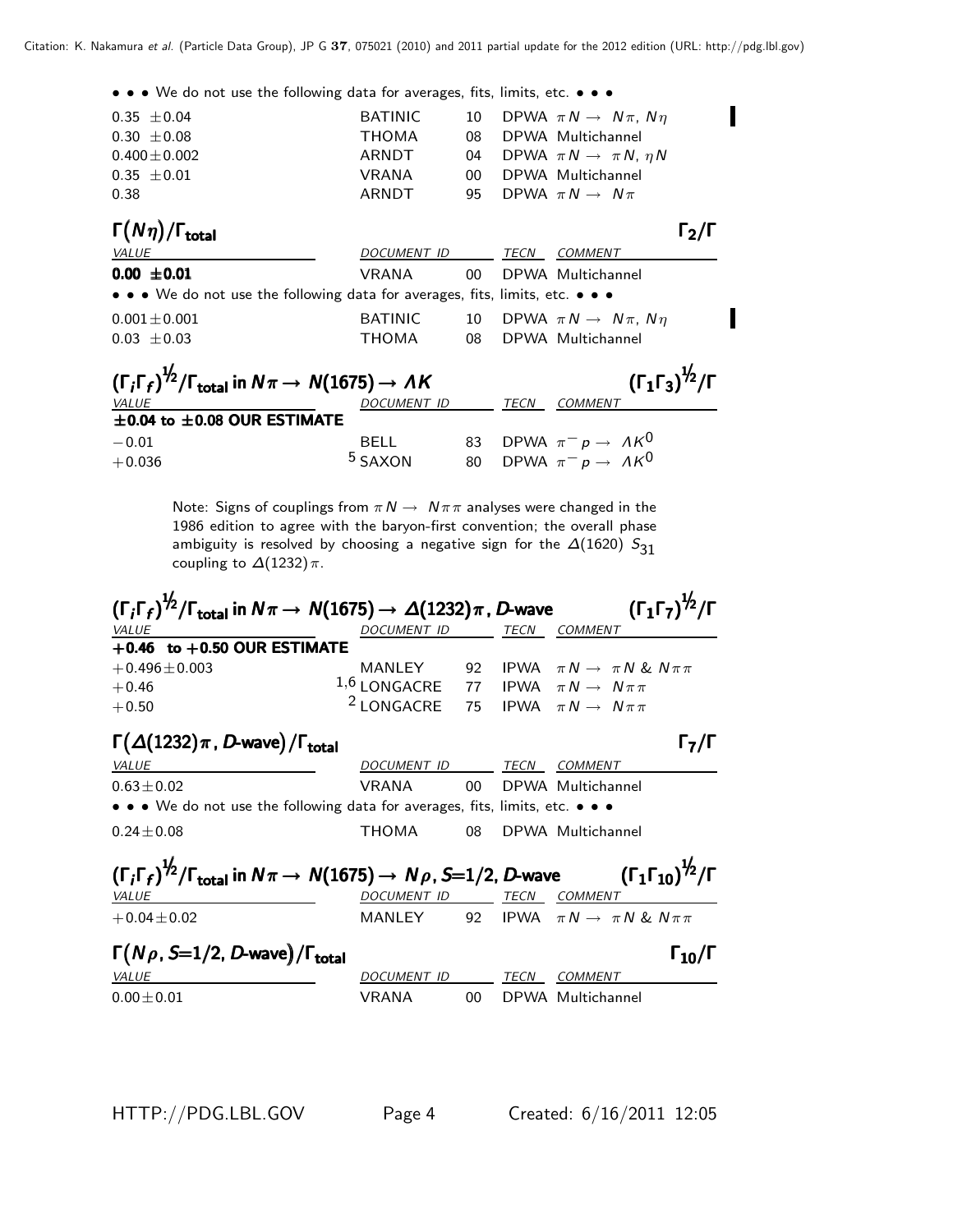• • • We do not use the following data for averages, fits, limits, etc. • • •

| $0.35 \pm 0.04$                                                                                          | <b>BATINIC</b> | 10              |      | DPWA $\pi N \rightarrow N \pi$ , $N \eta$    |  |
|----------------------------------------------------------------------------------------------------------|----------------|-----------------|------|----------------------------------------------|--|
| $0.30 \pm 0.08$                                                                                          | <b>THOMA</b>   | 08              |      | DPWA Multichannel                            |  |
| $0.400 \pm 0.002$                                                                                        | ARNDT          | 04              |      | DPWA $\pi N \rightarrow \pi N$ , $\eta N$    |  |
| $0.35 \pm 0.01$                                                                                          | <b>VRANA</b>   | 00              |      | DPWA Multichannel                            |  |
| 0.38                                                                                                     | ARNDT          | 95              |      | DPWA $\pi N \rightarrow N \pi$               |  |
| $\Gamma(N\eta)/\Gamma_{\rm total}$                                                                       |                |                 |      | $\mathsf{\Gamma_2}/\mathsf{\Gamma}$          |  |
| VALUE                                                                                                    | DOCUMENT ID    |                 | TECN | <b>COMMENT</b>                               |  |
| $0.00 \pm 0.01$                                                                                          | VRANA          | 00 <sup>1</sup> |      | DPWA Multichannel                            |  |
| • • • We do not use the following data for averages, fits, limits, etc. • • •                            |                |                 |      |                                              |  |
| $0.001 \pm 0.001$                                                                                        | <b>BATINIC</b> |                 |      | 10 DPWA $\pi N \rightarrow N \pi$ , $N \eta$ |  |
| $0.03 \pm 0.03$                                                                                          | <b>THOMA</b>   | 08              |      | DPWA Multichannel                            |  |
| $(\Gamma_i \Gamma_f)^{\frac{1}{2}} / \Gamma_{\text{total}}$ in $N\pi \rightarrow N(1675) \rightarrow AK$ |                |                 |      | $(\Gamma_1 \Gamma_3)^{\frac{1}{2}} / \Gamma$ |  |
| VALUE                                                                                                    | DOCUMENT ID    |                 | TECN | <b>COMMENT</b>                               |  |

| $\pm$ 0.04 to $\pm$ 0.08 OUR ESTIMATE |                    |                                   |
|---------------------------------------|--------------------|-----------------------------------|
| $-0.01$                               | <b>BELL</b>        | 83 DPWA $\pi^- p \to A K^0$       |
| $+0.036$                              | <sup>5</sup> SAXON | 80 DPWA $\pi^- p \to \Lambda K^0$ |

Note: Signs of couplings from  $\pi N \to N \pi \pi$  analyses were changed in the 1986 edition to agree with the baryon-first convention; the overall phase ambiguity is resolved by choosing a negative sign for the  $\Delta(1620)$   $S_{31}$ coupling to  $\Delta(1232)\pi$ .

| $(\Gamma_i\Gamma_f)^{1/2}/\Gamma_{\rm total}$ in $N\pi\to\,N(1675)\to\,\varDelta(1232)\pi$ , D-wave                   |                          |        |      | $(\Gamma_1 \Gamma_7)^{\frac{1}{2}} / \Gamma$   |
|-----------------------------------------------------------------------------------------------------------------------|--------------------------|--------|------|------------------------------------------------|
| VALUE                                                                                                                 | DOCUMENT ID              |        |      | TECN COMMENT                                   |
| $+0.46$ to $+0.50$ OUR ESTIMATE                                                                                       |                          |        |      |                                                |
| $+0.496 \pm 0.003$                                                                                                    | MANLEY                   | 92     |      | IPWA $\pi N \rightarrow \pi N \& N \pi \pi$    |
| $+0.46$                                                                                                               | $1,6$ LONGACRE           | 77     |      | IPWA $\pi N \rightarrow N \pi \pi$             |
| $+0.50$                                                                                                               | <sup>2</sup> LONGACRE    |        |      | 75 IPWA $\pi N \rightarrow N \pi \pi$          |
| $\Gamma(\Delta(1232)\pi, D$ -wave)/ $\Gamma_{total}$                                                                  |                          |        |      | $\mathsf{F}_7/\mathsf{F}$                      |
| <b>VALUE</b>                                                                                                          | DOCUMENT ID TECN COMMENT |        |      |                                                |
| $0.63 \pm 0.02$                                                                                                       | VRANA                    | $00 -$ |      | DPWA Multichannel                              |
| $\bullet \bullet \bullet$ We do not use the following data for averages, fits, limits, etc. $\bullet \bullet \bullet$ |                          |        |      |                                                |
| $0.24 \pm 0.08$                                                                                                       | THOMA                    | 08     |      | DPWA Multichannel                              |
| $(\Gamma_i\Gamma_f)^{1/2}/\Gamma_{\rm total}$ in $N\pi\to\,N(1675)\to\,N\rho$ , S=1/2, D-wave                         |                          |        |      | $(\Gamma_1\Gamma_{10})^{1\!/2}/\Gamma$         |
| <i>VALUE</i>                                                                                                          | DOCUMENT ID              |        | TECN | <i>COMMENT</i>                                 |
| $+0.04 \pm 0.02$                                                                                                      | MANLEY                   |        |      | 92 IPWA $\pi N \rightarrow \pi N \& N \pi \pi$ |
| $\Gamma(N\rho, S=1/2, D$ -wave)/ $\Gamma_{\text{total}}$                                                              |                          |        |      | $\Gamma_{10}/\Gamma$                           |
| <b>VALUE</b>                                                                                                          | DOCUMENT ID              |        | TECN | <b>COMMENT</b>                                 |
| $0.00 \pm 0.01$                                                                                                       | <b>VRANA</b>             | 00.    |      | DPWA Multichannel                              |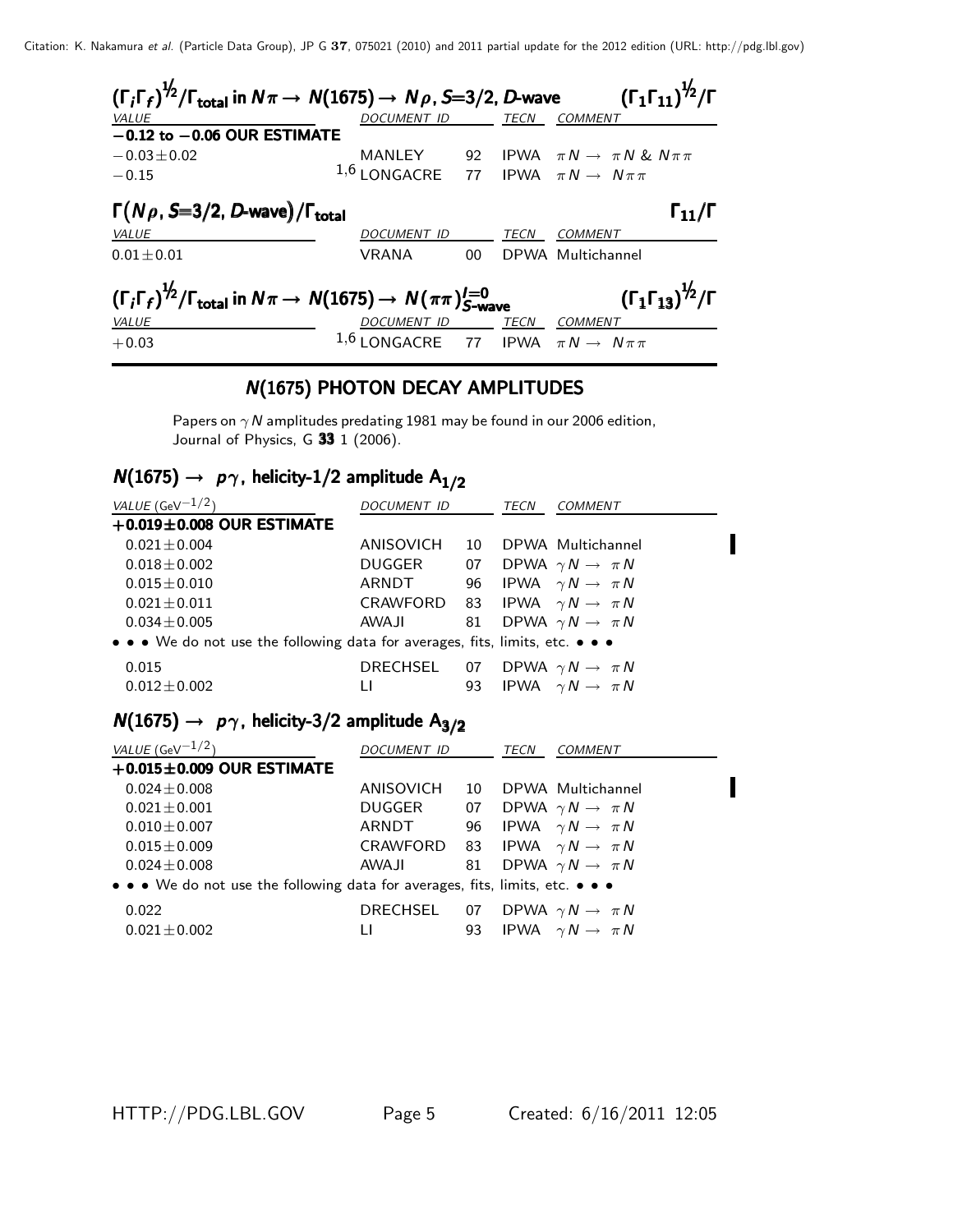Citation: K. Nakamura et al. (Particle Data Group), JP G **37**, 075021 (2010) and 2011 partial update for the 2012 edition (URL: http://pdg.lbl.gov)

| $(\Gamma_i\Gamma_f)^{1/2}/\Gamma_{\rm total}$ in $N\pi \rightarrow N(1675) \rightarrow N\rho$ , S=3/2, D-wave         |                                                    |    |             | $\left(\Gamma_{1}\Gamma_{11}\right)^{\not\!2}/\Gamma$                                                       |
|-----------------------------------------------------------------------------------------------------------------------|----------------------------------------------------|----|-------------|-------------------------------------------------------------------------------------------------------------|
| VALUE                                                                                                                 | <b>DOCUMENT ID</b>                                 |    | <b>TECN</b> | <b>COMMENT</b>                                                                                              |
| $-0.12$ to $-0.06$ OUR ESTIMATE                                                                                       |                                                    |    |             |                                                                                                             |
| $-0.03 \pm 0.02$                                                                                                      |                                                    |    |             |                                                                                                             |
| $-0.15$                                                                                                               |                                                    |    |             | MANLEY 92 IPWA $\pi N \rightarrow \pi N \& N \pi \pi$<br>1,6 LONGACRE 77 IPWA $\pi N \rightarrow N \pi \pi$ |
| $\Gamma(N\rho, S=3/2, D$ -wave)/ $\Gamma_{total}$                                                                     |                                                    |    |             | $\Gamma_{11}/\Gamma$                                                                                        |
| <i>VALUE</i>                                                                                                          | <b>DOCUMENT ID</b>                                 |    | TECN        | COMMENT                                                                                                     |
| $0.01 + 0.01$                                                                                                         | VRANA                                              | 00 |             | DPWA Multichannel                                                                                           |
| $(\Gamma_i \Gamma_f)^{\frac{1}{2}} / \Gamma_{\text{total}}$ in $N\pi \to N(1675) \to N(\pi\pi)_{S-\text{wave}}^{I=0}$ |                                                    |    |             | $(\Gamma_1 \Gamma_{13})^{1/2}/\Gamma$                                                                       |
| <b>VALUE</b>                                                                                                          | DOCUMENT ID                                        |    | TECN        | COMMENT                                                                                                     |
| $+0.03$                                                                                                               | 1,6 LONGACRE 77 IPWA $\pi N \rightarrow N \pi \pi$ |    |             |                                                                                                             |

## N(1675) PHOTON DECAY AMPLITUDES

Papers on  $\gamma$  N amplitudes predating 1981 may be found in our 2006 edition, Journal of Physics, G  $33$  1 (2006).

# $N(1675) \rightarrow p\gamma$ , helicity-1/2 amplitude A<sub>1/2</sub>

| VALUE (GeV $-1/2$ )                                                           | DOCUMENT ID |    | TECN<br>COMMENT                       |
|-------------------------------------------------------------------------------|-------------|----|---------------------------------------|
| $+0.019\pm0.008$ OUR ESTIMATE                                                 |             |    |                                       |
| $0.021 \pm 0.004$                                                             | ANISOVICH   | 10 | DPWA Multichannel                     |
| $0.018 \pm 0.002$                                                             | DUGGER      | 07 | DPWA $\gamma N \to \pi N$             |
| $0.015 \pm 0.010$                                                             | ARNDT       |    | 96 IPWA $\gamma N \rightarrow \pi N$  |
| $0.021 \pm 0.011$                                                             |             |    | CRAWFORD 83 IPWA $\gamma N \to \pi N$ |
| $0.034 \pm 0.005$                                                             | AWAJI       |    | 81 DPWA $\gamma N \rightarrow \pi N$  |
| • • • We do not use the following data for averages, fits, limits, etc. • • • |             |    |                                       |
| 0.015                                                                         | DRECHSEL    |    | 07 DPWA $\gamma N \rightarrow \pi N$  |
| $0.012 \pm 0.002$                                                             | Ħ           | 93 | IPWA $\gamma N \rightarrow \pi N$     |

# $N(1675) \rightarrow p\gamma$ , helicity-3/2 amplitude  $A_{3/2}$

| VALUE (GeV $^{-1/2}$ )                                                        | <i>DOCUMENT ID</i>                    |    | TECN | COMMENT                              |  |
|-------------------------------------------------------------------------------|---------------------------------------|----|------|--------------------------------------|--|
| $+0.015 \pm 0.009$ OUR ESTIMATE                                               |                                       |    |      |                                      |  |
| $0.024 \pm 0.008$                                                             | ANISOVICH                             | 10 |      | DPWA Multichannel                    |  |
| $0.021 + 0.001$                                                               | DUGGER                                | 07 |      | DPWA $\gamma N \rightarrow \pi N$    |  |
| $0.010 \pm 0.007$                                                             | ARNDT                                 |    |      | 96 IPWA $\gamma N \rightarrow \pi N$ |  |
| $0.015 \pm 0.009$                                                             | CRAWFORD 83 IPWA $\gamma N \to \pi N$ |    |      |                                      |  |
| $0.024 + 0.008$                                                               | <b>AWAJI</b>                          | 81 |      | DPWA $\gamma N \rightarrow \pi N$    |  |
| • • • We do not use the following data for averages, fits, limits, etc. • • • |                                       |    |      |                                      |  |
| 0.022                                                                         | DRECHSEL                              | 07 |      | DPWA $\gamma N \rightarrow \pi N$    |  |
| $0.021 \pm 0.002$                                                             | LI                                    | 93 |      | IPWA $\gamma N \rightarrow \pi N$    |  |

Π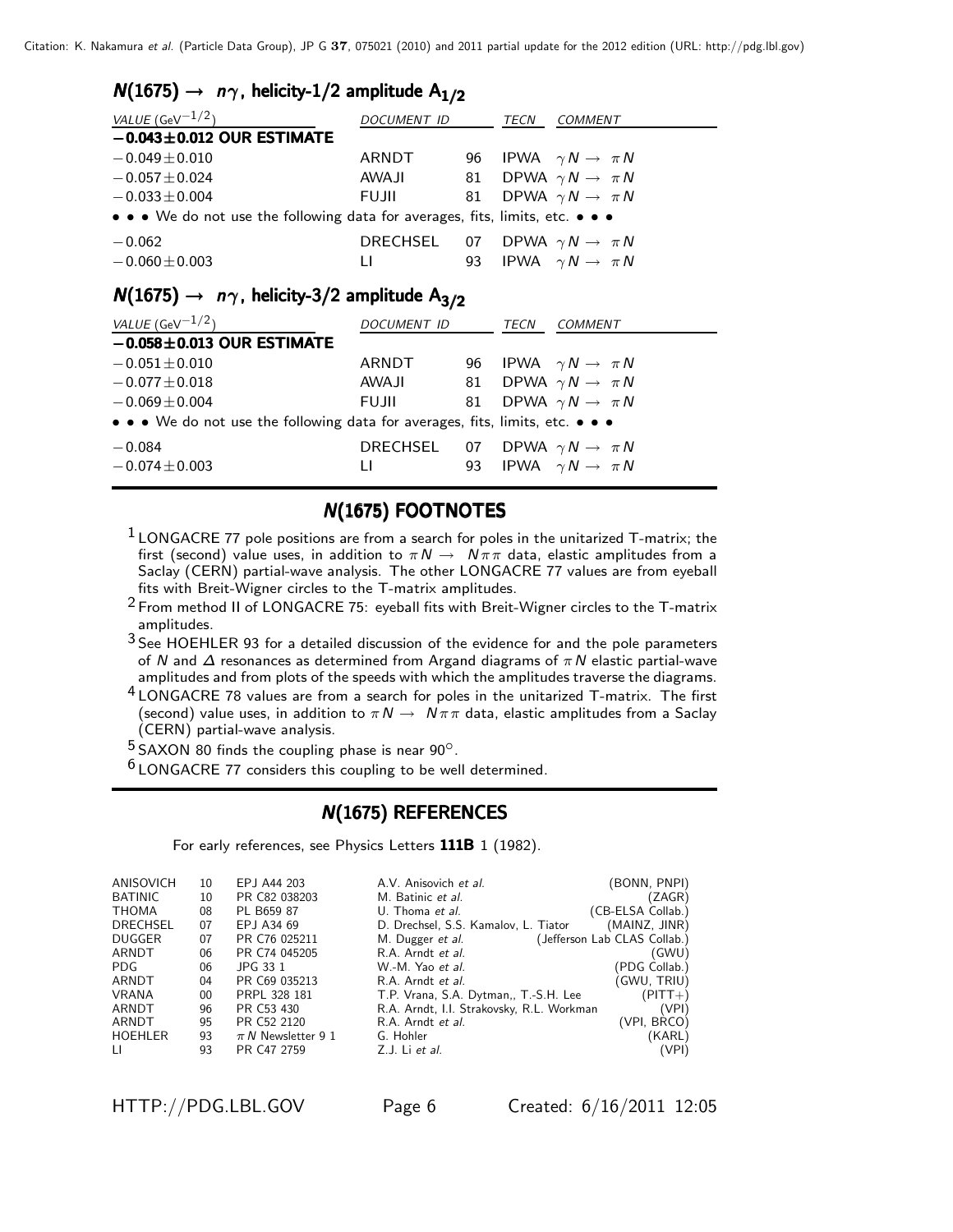#### $N(1675) \rightarrow n\gamma$ , helicity-1/2 amplitude A<sub>1/2</sub>

| VALUE (GeV $^{-1/2}$ )                                                        | <b>DOCUMENT ID</b> |    | <b>TECN</b> | COMMENT                                                                   |  |  |
|-------------------------------------------------------------------------------|--------------------|----|-------------|---------------------------------------------------------------------------|--|--|
| $-0.043 \pm 0.012$ OUR ESTIMATE                                               |                    |    |             |                                                                           |  |  |
| $-0.049 \pm 0.010$                                                            | ARNDT              |    |             | 96 IPWA $\gamma N \rightarrow \pi N$                                      |  |  |
| $-0.057 \pm 0.024$                                                            | <b>AWAJI</b>       | 81 |             | DPWA $\gamma N \rightarrow \pi N$                                         |  |  |
| $-0.033 \pm 0.004$                                                            | <b>FUJII</b>       | 81 |             | DPWA $\gamma N \rightarrow \pi N$                                         |  |  |
| • • • We do not use the following data for averages, fits, limits, etc. • • • |                    |    |             |                                                                           |  |  |
| $-0.062$<br>$-0.060 \pm 0.003$                                                | DRECHSEL<br>Ħ      | 93 |             | 07 DPWA $\gamma N \rightarrow \pi N$<br>IPWA $\gamma N \rightarrow \pi N$ |  |  |

#### $N(1675) \rightarrow n\gamma$ , helicity-3/2 amplitude A<sub>3/2</sub>

| VALUE (GeV $^{-1/2}$ )                                                        | DOCUMENT ID                           |  | TECN | COMMENT                              |  |
|-------------------------------------------------------------------------------|---------------------------------------|--|------|--------------------------------------|--|
| $-0.058 \pm 0.013$ OUR ESTIMATE                                               |                                       |  |      |                                      |  |
| $-0.051 \pm 0.010$                                                            | ARNDT                                 |  |      | 96 IPWA $\gamma N \rightarrow \pi N$ |  |
| $-0.077 \pm 0.018$                                                            | AWAJI                                 |  |      | 81 DPWA $\gamma N \rightarrow \pi N$ |  |
| $-0.069 \pm 0.004$                                                            | <b>FUJII</b>                          |  |      | 81 DPWA $\gamma N \rightarrow \pi N$ |  |
| • • • We do not use the following data for averages, fits, limits, etc. • • • |                                       |  |      |                                      |  |
| $-0.084$                                                                      | DRECHSEL 07 DPWA $\gamma N \to \pi N$ |  |      |                                      |  |
| $-0.074 \pm 0.003$                                                            | п                                     |  |      | 93 IPWA $\gamma N \rightarrow \pi N$ |  |

#### **N(1675) FOOTNOTES**

- $1$  LONGACRE 77 pole positions are from a search for poles in the unitarized T-matrix; the first (second) value uses, in addition to  $\pi N \to N \pi \pi$  data, elastic amplitudes from a Saclay (CERN) partial-wave analysis. The other LONGACRE 77 values are from eyeball fits with Breit-Wigner circles to the T-matrix amplitudes.
- $2$  From method II of LONGACRE 75: eyeball fits with Breit-Wigner circles to the T-matrix amplitudes.
- 3 See HOEHLER 93 for a detailed discussion of the evidence for and the pole parameters of N and  $\Delta$  resonances as determined from Argand diagrams of  $\pi N$  elastic partial-wave amplitudes and from plots of the speeds with which the amplitudes traverse the diagrams.
- 4 LONGACRE 78 values are from a search for poles in the unitarized T-matrix. The first (second) value uses, in addition to  $\pi N \to N \pi \pi$  data, elastic amplitudes from a Saclay (CERN) partial-wave analysis.<br> $5$  SAXON 80 finds the coupling phase is near 90 $^{\circ}$ .

 $6$  LONGACRE 77 considers this coupling to be well determined.

#### **N(1675) REFERENCES**

For early references, see Physics Letters 111B 1 (1982).

| ANISOVICH      | 10 | EPJ A44 203            | A.V. Anisovich et al.                     | (BONN, PNPI)                 |
|----------------|----|------------------------|-------------------------------------------|------------------------------|
| <b>BATINIC</b> | 10 | PR C82 038203          | M. Batinic et al.                         | (ZAGR)                       |
| <b>THOMA</b>   | 08 | PL B659 87             | U. Thoma et al.                           | (CB-ELSA Collab.)            |
| DRECHSEL       | 07 | EPJ A34 69             | D. Drechsel, S.S. Kamalov, L. Tiator      | (MAINZ, JINR)                |
| <b>DUGGER</b>  | 07 | PR C76 025211          | M. Dugger <i>et al.</i>                   | (Jefferson Lab CLAS Collab.) |
| ARNDT          | 06 | PR C74 045205          | R.A. Arndt et al.                         | (GWU)                        |
| PDG.           | 06 | JPG 33 1               | W.-M. Yao et al.                          | (PDG Collab.)                |
| ARNDT          | 04 | PR C69 035213          | R.A. Arndt et al.                         | (GWU, TRIU)                  |
| <b>VRANA</b>   | 00 | PRPL 328 181           | T.P. Vrana, S.A. Dytman,, T.-S.H. Lee     | $(PITT+)$                    |
| ARNDT          | 96 | PR C53 430             | R.A. Arndt, I.I. Strakovsky, R.L. Workman | (VPI)                        |
| ARNDT          | 95 | PR C52 2120            | R.A. Arndt et al.                         | (VPI, BRCO)                  |
| <b>HOEHLER</b> | 93 | $\pi N$ Newsletter 9 1 | G. Hohler                                 | (KARL)                       |
| Ħ              | 93 | PR C47 2759            | Z.J. Li et al.                            | (VPI)                        |
|                |    |                        |                                           |                              |